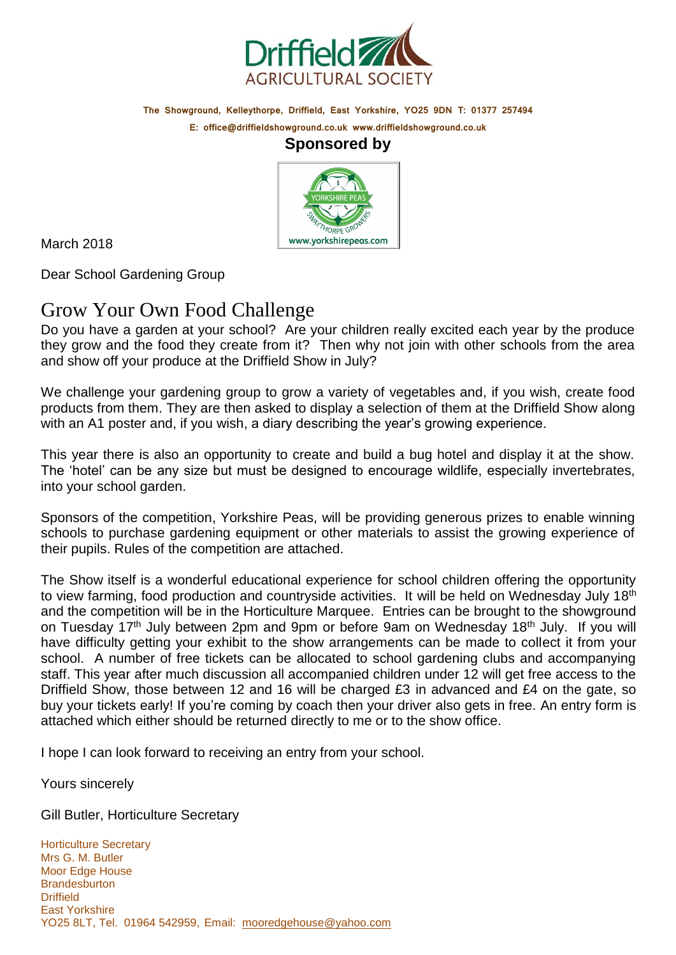

**The Showground, Kelleythorpe, Driffield, East Yorkshire, YO25 9DN T: 01377 257494**

**E: [office@driffieldshowground.co.uk](mailto:office@driffieldshowground.co.uk) [www.driffieldshowground.co.uk](http://www.driffieldshowground.co.uk/)**

### **Sponsored by**



March 2018

Dear School Gardening Group

## Grow Your Own Food Challenge

Do you have a garden at your school? Are your children really excited each year by the produce they grow and the food they create from it? Then why not join with other schools from the area and show off your produce at the Driffield Show in July?

We challenge your gardening group to grow a variety of vegetables and, if you wish, create food products from them. They are then asked to display a selection of them at the Driffield Show along with an A1 poster and, if you wish, a diary describing the year's growing experience.

This year there is also an opportunity to create and build a bug hotel and display it at the show. The 'hotel' can be any size but must be designed to encourage wildlife, especially invertebrates, into your school garden.

Sponsors of the competition, Yorkshire Peas, will be providing generous prizes to enable winning schools to purchase gardening equipment or other materials to assist the growing experience of their pupils. Rules of the competition are attached.

The Show itself is a wonderful educational experience for school children offering the opportunity to view farming, food production and countryside activities. It will be held on Wednesday July 18<sup>th</sup> and the competition will be in the Horticulture Marquee. Entries can be brought to the showground on Tuesday 17<sup>th</sup> July between 2pm and 9pm or before 9am on Wednesday 18<sup>th</sup> July. If you will have difficulty getting your exhibit to the show arrangements can be made to collect it from your school. A number of free tickets can be allocated to school gardening clubs and accompanying staff. This year after much discussion all accompanied children under 12 will get free access to the Driffield Show, those between 12 and 16 will be charged £3 in advanced and £4 on the gate, so buy your tickets early! If you're coming by coach then your driver also gets in free. An entry form is attached which either should be returned directly to me or to the show office.

I hope I can look forward to receiving an entry from your school.

Yours sincerely

Gill Butler, Horticulture Secretary

Horticulture Secretary Mrs G. M. Butler Moor Edge House **Brandesburton Driffield** East Yorkshire YO25 8LT, Tel. 01964 542959, Email: [mooredgehouse@yahoo.com](mailto:mooredgehouse@yahoo.com)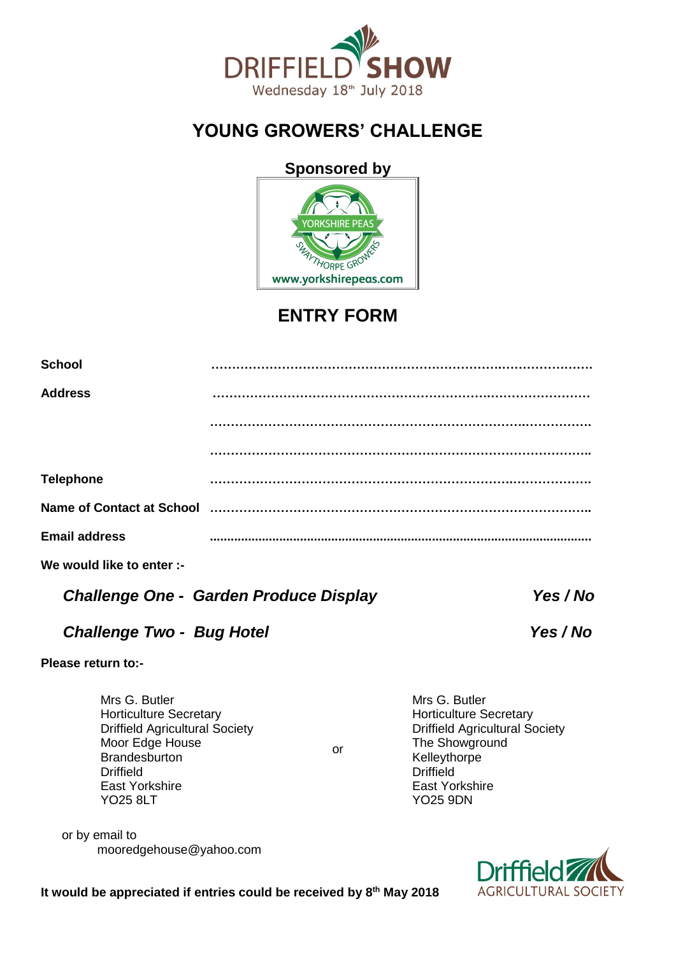

# **YOUNG GROWERS' CHALLENGE**

### **Sponsored by**



# **ENTRY FORM**

| <b>School</b>        |                                                                              |
|----------------------|------------------------------------------------------------------------------|
| <b>Address</b>       |                                                                              |
|                      |                                                                              |
| <b>Telephone</b>     |                                                                              |
|                      | Name of Contact at School mummum contact the School contact at School mummum |
| <b>Email address</b> |                                                                              |

**We would like to enter :-**

|  | <b>Challenge One - Garden Produce Display</b> |  | Yes / No |
|--|-----------------------------------------------|--|----------|
|--|-----------------------------------------------|--|----------|

or

### *Challenge Two - Bug Hotel* X 7 The *Yes / No*

**Please return to:-**

Mrs G. Butler Horticulture Secretary Driffield Agricultural Society Moor Edge House **Brandesburton** Driffield East Yorkshire YO25 8LT

 or by email to [mooredgehouse@yahoo.com](mailto:mooredgehouse@yahoo.com)

Mrs G. Butler Horticulture Secretary Driffield Agricultural Society The Showground **Kelleythorpe Driffield** East Yorkshire YO25 9DN



**It would be appreciated if entries could be received by 8th May 2018**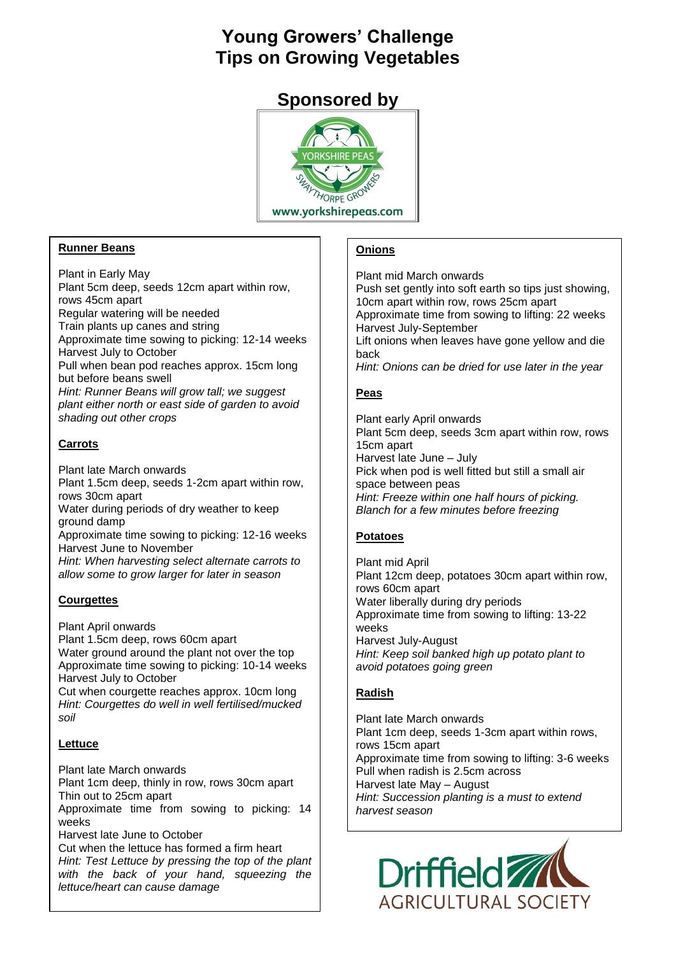# **Young Growers' Challenge Tips on Growing Vegetables**

### **Sponsored by**



#### **Runner Beans**

Plant in Early May Plant 5cm deep, seeds 12cm apart within row, rows 45cm apart Regular watering will be needed Train plants up canes and string Approximate time sowing to picking: 12-14 weeks Harvest July to October Pull when bean pod reaches approx. 15cm long but before beans swell *Hint: Runner Beans will grow tall; we suggest plant either north or east side of garden to avoid shading out other crops*

#### **Carrots**

Plant late March onwards Plant 1.5cm deep, seeds 1-2cm apart within row, rows 30cm apart Water during periods of dry weather to keep ground damp Approximate time sowing to picking: 12-16 weeks Harvest June to November *Hint: When harvesting select alternate carrots to allow some to grow larger for later in season*

#### **Courgettes**

Plant April onwards Plant 1.5cm deep, rows 60cm apart Water ground around the plant not over the top Approximate time sowing to picking: 10-14 weeks Harvest July to October Cut when courgette reaches approx. 10cm long *Hint: Courgettes do well in well fertilised/mucked soil*

#### **Lettuce**

Plant late March onwards Plant 1cm deep, thinly in row, rows 30cm apart Thin out to 25cm apart Approximate time from sowing to picking: 14 weeks Harvest late June to October Cut when the lettuce has formed a firm heart *Hint: Test Lettuce by pressing the top of the plant with the back of your hand, squeezing the lettuce/heart can cause damage*

#### **Onions**

Plant mid March onwards Push set gently into soft earth so tips just showing, 10cm apart within row, rows 25cm apart Approximate time from sowing to lifting: 22 weeks Harvest July-September Lift onions when leaves have gone yellow and die back *Hint: Onions can be dried for use later in the year*

#### **Peas**

Plant early April onwards Plant 5cm deep, seeds 3cm apart within row, rows 15cm apart Harvest late June – July Pick when pod is well fitted but still a small air space between peas *Hint: Freeze within one half hours of picking. Blanch for a few minutes before freezing*

#### **Potatoes**

Plant mid April Plant 12cm deep, potatoes 30cm apart within row, rows 60cm apart Water liberally during dry periods Approximate time from sowing to lifting: 13-22 weeks Harvest July-August *Hint: Keep soil banked high up potato plant to avoid potatoes going green*

#### **Radish**

Plant late March onwards Plant 1cm deep, seeds 1-3cm apart within rows, rows 15cm apart Approximate time from sowing to lifting: 3-6 weeks Pull when radish is 2.5cm across Harvest late May – August *Hint: Succession planting is a must to extend harvest season*